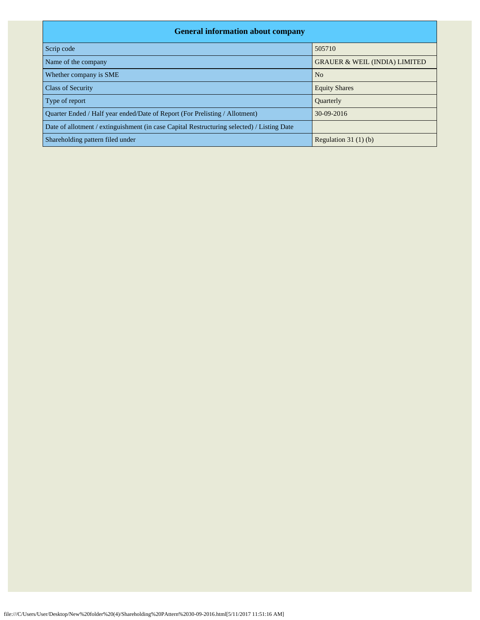| <b>General information about company</b>                                                   |                                          |  |  |  |  |  |  |  |  |
|--------------------------------------------------------------------------------------------|------------------------------------------|--|--|--|--|--|--|--|--|
| Scrip code                                                                                 | 505710                                   |  |  |  |  |  |  |  |  |
| Name of the company                                                                        | <b>GRAUER &amp; WEIL (INDIA) LIMITED</b> |  |  |  |  |  |  |  |  |
| Whether company is SME                                                                     | N <sub>0</sub>                           |  |  |  |  |  |  |  |  |
| <b>Class of Security</b>                                                                   | <b>Equity Shares</b>                     |  |  |  |  |  |  |  |  |
| Type of report                                                                             | Quarterly                                |  |  |  |  |  |  |  |  |
| Quarter Ended / Half year ended/Date of Report (For Prelisting / Allotment)                | 30-09-2016                               |  |  |  |  |  |  |  |  |
| Date of allotment / extinguishment (in case Capital Restructuring selected) / Listing Date |                                          |  |  |  |  |  |  |  |  |
| Shareholding pattern filed under                                                           | Regulation $31(1)(b)$                    |  |  |  |  |  |  |  |  |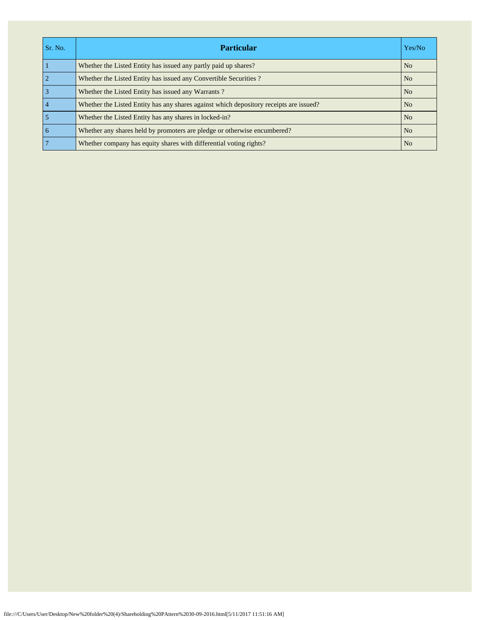| Sr. No.         | <b>Particular</b>                                                                      | Yes/No         |
|-----------------|----------------------------------------------------------------------------------------|----------------|
|                 | Whether the Listed Entity has issued any partly paid up shares?                        | N <sub>o</sub> |
| $\overline{2}$  | Whether the Listed Entity has issued any Convertible Securities?                       | N <sub>o</sub> |
| $\overline{3}$  | Whether the Listed Entity has issued any Warrants?                                     | N <sub>o</sub> |
| $\overline{4}$  | Whether the Listed Entity has any shares against which depository receipts are issued? | N <sub>o</sub> |
| 5               | Whether the Listed Entity has any shares in locked-in?                                 | N <sub>0</sub> |
| $\overline{6}$  | Whether any shares held by promoters are pledge or otherwise encumbered?               | N <sub>o</sub> |
| $7\phantom{.0}$ | Whether company has equity shares with differential voting rights?                     | N <sub>o</sub> |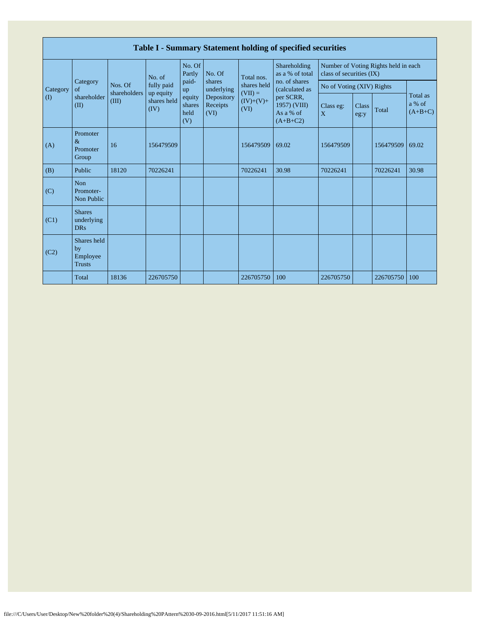|                       | Table I - Summary Statement holding of specified securities |                         |                         |                                 |                                |                                                               |                                                                                                                            |                           |                      |                                      |                                 |  |
|-----------------------|-------------------------------------------------------------|-------------------------|-------------------------|---------------------------------|--------------------------------|---------------------------------------------------------------|----------------------------------------------------------------------------------------------------------------------------|---------------------------|----------------------|--------------------------------------|---------------------------------|--|
|                       | Category<br>of                                              |                         | No. of                  | No. Of<br>Partly                | No. Of                         | Total nos.<br>shares held<br>$(VII) =$<br>$(IV)+(V)+$<br>(VI) | Shareholding<br>as a % of total<br>no. of shares<br>(calculated as<br>per SCRR,<br>1957) (VIII)<br>As a % of<br>$(A+B+C2)$ | class of securities (IX)  |                      | Number of Voting Rights held in each |                                 |  |
| Category              |                                                             | Nos. Of<br>shareholders | fully paid<br>up equity | paid-<br>up                     | shares<br>underlying           |                                                               |                                                                                                                            | No of Voting (XIV) Rights |                      |                                      |                                 |  |
| $\mathcal{L}(\Gamma)$ | shareholder<br>(II)                                         | (III)                   | shares held<br>(IV)     | equity<br>shares<br>held<br>(V) | Depository<br>Receipts<br>(VI) |                                                               |                                                                                                                            | Class eg:<br>X            | <b>Class</b><br>eg:y | Total                                | Total as<br>a % of<br>$(A+B+C)$ |  |
| (A)                   | Promoter<br>$\&$<br>Promoter<br>Group                       | 16                      | 156479509               |                                 |                                | 156479509                                                     | 69.02                                                                                                                      | 156479509                 |                      | 156479509                            | 69.02                           |  |
| (B)                   | Public                                                      | 18120                   | 70226241                |                                 |                                | 70226241                                                      | 30.98                                                                                                                      | 70226241                  |                      | 70226241                             | 30.98                           |  |
| (C)                   | <b>Non</b><br>Promoter-<br>Non Public                       |                         |                         |                                 |                                |                                                               |                                                                                                                            |                           |                      |                                      |                                 |  |
| (C1)                  | <b>Shares</b><br>underlying<br><b>DRs</b>                   |                         |                         |                                 |                                |                                                               |                                                                                                                            |                           |                      |                                      |                                 |  |
| (C2)                  | Shares held<br>by<br>Employee<br><b>Trusts</b>              |                         |                         |                                 |                                |                                                               |                                                                                                                            |                           |                      |                                      |                                 |  |
|                       | Total                                                       | 18136                   | 226705750               |                                 |                                | 226705750                                                     | 100                                                                                                                        | 226705750                 |                      | 226705750                            | 100                             |  |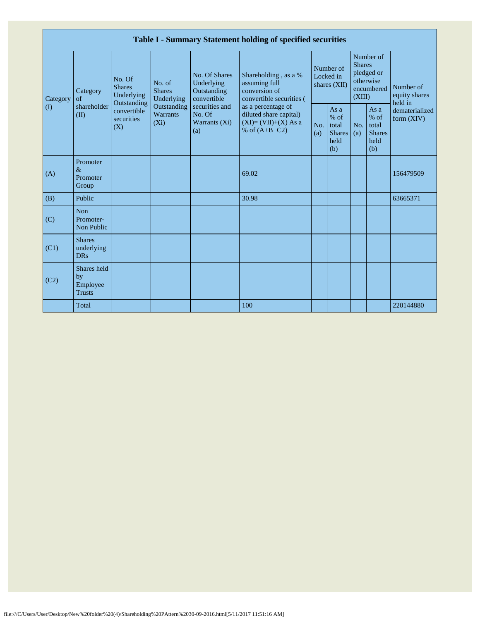|                         | Table I - Summary Statement holding of specified securities |                                                                                          |                                                                                    |                                                                                                                      |                                                                                                                                                                                |                                        |                                                         |                                                                               |                                                       |                                       |  |  |
|-------------------------|-------------------------------------------------------------|------------------------------------------------------------------------------------------|------------------------------------------------------------------------------------|----------------------------------------------------------------------------------------------------------------------|--------------------------------------------------------------------------------------------------------------------------------------------------------------------------------|----------------------------------------|---------------------------------------------------------|-------------------------------------------------------------------------------|-------------------------------------------------------|---------------------------------------|--|--|
| Category<br>$($ $($ $)$ | Category<br>of<br>shareholder<br>(II)                       | No. Of<br><b>Shares</b><br>Underlying<br>Outstanding<br>convertible<br>securities<br>(X) | No. of<br><b>Shares</b><br>Underlying<br>Outstanding<br><b>Warrants</b><br>$(X_i)$ | <b>No. Of Shares</b><br>Underlying<br>Outstanding<br>convertible<br>securities and<br>No. Of<br>Warrants (Xi)<br>(a) | Shareholding, as a %<br>assuming full<br>conversion of<br>convertible securities (<br>as a percentage of<br>diluted share capital)<br>$(XI)=(VII)+(X) As a$<br>% of $(A+B+C2)$ | Number of<br>Locked in<br>shares (XII) |                                                         | Number of<br><b>Shares</b><br>pledged or<br>otherwise<br>encumbered<br>(XIII) |                                                       | Number of<br>equity shares<br>held in |  |  |
|                         |                                                             |                                                                                          |                                                                                    |                                                                                                                      |                                                                                                                                                                                | No.<br>(a)                             | As a<br>$%$ of<br>total<br><b>Shares</b><br>held<br>(b) | No.<br>(a)                                                                    | As a<br>% of<br>total<br><b>Shares</b><br>held<br>(b) | dematerialized<br>form $(XIV)$        |  |  |
| (A)                     | Promoter<br>$\&$<br>Promoter<br>Group                       |                                                                                          |                                                                                    |                                                                                                                      | 69.02                                                                                                                                                                          |                                        |                                                         |                                                                               |                                                       | 156479509                             |  |  |
| (B)                     | Public                                                      |                                                                                          |                                                                                    |                                                                                                                      | 30.98                                                                                                                                                                          |                                        |                                                         |                                                                               |                                                       | 63665371                              |  |  |
| (C)                     | <b>Non</b><br>Promoter-<br>Non Public                       |                                                                                          |                                                                                    |                                                                                                                      |                                                                                                                                                                                |                                        |                                                         |                                                                               |                                                       |                                       |  |  |
| (C1)                    | <b>Shares</b><br>underlying<br><b>DRs</b>                   |                                                                                          |                                                                                    |                                                                                                                      |                                                                                                                                                                                |                                        |                                                         |                                                                               |                                                       |                                       |  |  |
| (C2)                    | Shares held<br>by<br>Employee<br><b>Trusts</b>              |                                                                                          |                                                                                    |                                                                                                                      |                                                                                                                                                                                |                                        |                                                         |                                                                               |                                                       |                                       |  |  |
|                         | Total                                                       |                                                                                          |                                                                                    |                                                                                                                      | 100                                                                                                                                                                            |                                        |                                                         |                                                                               |                                                       | 220144880                             |  |  |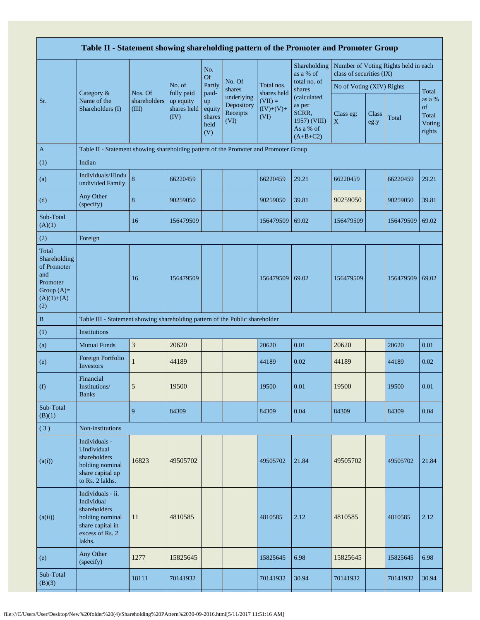|                                                                                                | Table II - Statement showing shareholding pattern of the Promoter and Promoter Group                                |                                  |                                                |                                                |                                                                  |                                                 |                                                                                                     |                           |               |                                      |                                                    |  |
|------------------------------------------------------------------------------------------------|---------------------------------------------------------------------------------------------------------------------|----------------------------------|------------------------------------------------|------------------------------------------------|------------------------------------------------------------------|-------------------------------------------------|-----------------------------------------------------------------------------------------------------|---------------------------|---------------|--------------------------------------|----------------------------------------------------|--|
|                                                                                                |                                                                                                                     |                                  |                                                | No.<br><b>Of</b>                               |                                                                  |                                                 | Shareholding<br>as a % of                                                                           | class of securities (IX)  |               | Number of Voting Rights held in each |                                                    |  |
|                                                                                                | Category &                                                                                                          |                                  | No. of                                         | Partly                                         | No. Of<br>shares<br>underlying<br>Depository<br>Receipts<br>(VI) | Total nos.                                      | total no. of<br>shares<br>(calculated<br>as per<br>SCRR,<br>1957) (VIII)<br>As a % of<br>$(A+B+C2)$ | No of Voting (XIV) Rights |               |                                      |                                                    |  |
| Sr.                                                                                            | Name of the<br>Shareholders (I)                                                                                     | Nos. Of<br>shareholders<br>(III) | fully paid<br>up equity<br>shares held<br>(IV) | paid-<br>up<br>equity<br>shares<br>held<br>(V) |                                                                  | shares held<br>$(VII) =$<br>$(IV)+(V)+$<br>(VI) |                                                                                                     | Class eg:<br>$\mathbf X$  | Class<br>eg:y | Total                                | Total<br>as a %<br>of<br>Total<br>Voting<br>rights |  |
| $\mathbf{A}$                                                                                   | Table II - Statement showing shareholding pattern of the Promoter and Promoter Group                                |                                  |                                                |                                                |                                                                  |                                                 |                                                                                                     |                           |               |                                      |                                                    |  |
| (1)                                                                                            | Indian                                                                                                              |                                  |                                                |                                                |                                                                  |                                                 |                                                                                                     |                           |               |                                      |                                                    |  |
| (a)                                                                                            | Individuals/Hindu<br>undivided Family                                                                               | $\bf 8$                          | 66220459                                       |                                                |                                                                  | 66220459                                        | 29.21                                                                                               | 66220459                  |               | 66220459                             | 29.21                                              |  |
| (d)                                                                                            | Any Other<br>(specify)                                                                                              | $\bf 8$                          | 90259050                                       |                                                |                                                                  | 90259050                                        | 39.81                                                                                               | 90259050                  |               | 90259050                             | 39.81                                              |  |
| Sub-Total<br>(A)(1)                                                                            |                                                                                                                     | 16                               | 156479509                                      |                                                |                                                                  | 156479509                                       | 69.02                                                                                               | 156479509                 |               | 156479509                            | 69.02                                              |  |
| (2)                                                                                            | Foreign                                                                                                             |                                  |                                                |                                                |                                                                  |                                                 |                                                                                                     |                           |               |                                      |                                                    |  |
| Total<br>Shareholding<br>of Promoter<br>and<br>Promoter<br>Group $(A)=$<br>$(A)(1)+(A)$<br>(2) |                                                                                                                     | 16                               | 156479509                                      |                                                |                                                                  | 156479509                                       | 69.02                                                                                               | 156479509                 |               | 156479509                            | 69.02                                              |  |
| $\, {\bf B}$                                                                                   | Table III - Statement showing shareholding pattern of the Public shareholder                                        |                                  |                                                |                                                |                                                                  |                                                 |                                                                                                     |                           |               |                                      |                                                    |  |
| (1)                                                                                            | <b>Institutions</b>                                                                                                 |                                  |                                                |                                                |                                                                  |                                                 |                                                                                                     |                           |               |                                      |                                                    |  |
| (a)                                                                                            | <b>Mutual Funds</b>                                                                                                 | $\ensuremath{\mathfrak{Z}}$      | 20620                                          |                                                |                                                                  | 20620                                           | 0.01                                                                                                | 20620                     |               | 20620                                | 0.01                                               |  |
| (e)                                                                                            | Foreign Portfolio<br>Investors                                                                                      | $\mathbf{1}$                     | 44189                                          |                                                |                                                                  | 44189                                           | 0.02                                                                                                | 44189                     |               | 44189                                | 0.02                                               |  |
| (f)                                                                                            | Financial<br>Institutions/<br><b>Banks</b>                                                                          | 5                                | 19500                                          |                                                |                                                                  | 19500                                           | 0.01                                                                                                | 19500                     |               | 19500                                | 0.01                                               |  |
| Sub-Total<br>(B)(1)                                                                            |                                                                                                                     | 9                                | 84309                                          |                                                |                                                                  | 84309                                           | 0.04                                                                                                | 84309                     |               | 84309                                | 0.04                                               |  |
| (3)                                                                                            | Non-institutions                                                                                                    |                                  |                                                |                                                |                                                                  |                                                 |                                                                                                     |                           |               |                                      |                                                    |  |
| (a(i))                                                                                         | Individuals -<br>i.Individual<br>shareholders<br>holding nominal<br>share capital up<br>to Rs. 2 lakhs.             | 16823                            | 49505702                                       |                                                |                                                                  | 49505702                                        | 21.84                                                                                               | 49505702                  |               | 49505702                             | 21.84                                              |  |
| (a(ii))                                                                                        | Individuals - ii.<br>Individual<br>shareholders<br>holding nominal<br>share capital in<br>excess of Rs. 2<br>lakhs. | 11                               | 4810585                                        |                                                |                                                                  | 4810585                                         | 2.12                                                                                                | 4810585                   |               | 4810585                              | 2.12                                               |  |
| (e)                                                                                            | Any Other<br>(specify)                                                                                              | 1277                             | 15825645                                       |                                                |                                                                  | 15825645                                        | 6.98                                                                                                | 15825645                  |               | 15825645                             | 6.98                                               |  |
| Sub-Total<br>(B)(3)                                                                            |                                                                                                                     | 18111                            | 70141932                                       |                                                |                                                                  | 70141932                                        | 30.94                                                                                               | 70141932                  |               | 70141932                             | 30.94                                              |  |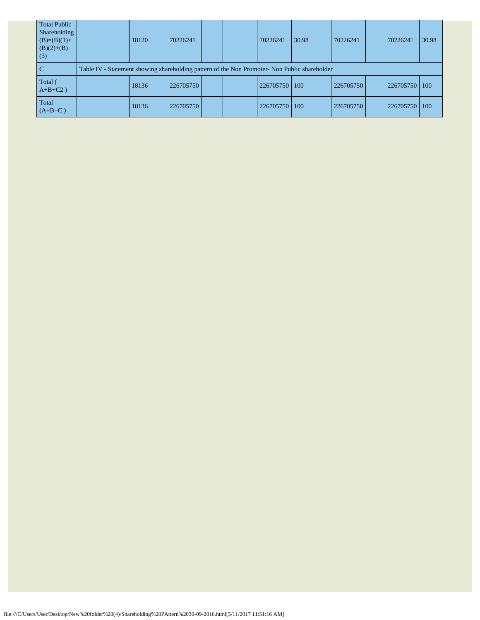| <b>Total Public</b><br>Shareholding<br>$(B)=(B)(1)+$<br>$(B)(2)+(B)$<br>(3) | 18120                                                                                         | 70226241  |  |  | 70226241  | 30.98 | 70226241  |  | 70226241  | 30.98 |
|-----------------------------------------------------------------------------|-----------------------------------------------------------------------------------------------|-----------|--|--|-----------|-------|-----------|--|-----------|-------|
| C                                                                           | Table IV - Statement showing shareholding pattern of the Non Promoter- Non Public shareholder |           |  |  |           |       |           |  |           |       |
| Total (<br>$A+B+C2$ )                                                       | 18136                                                                                         | 226705750 |  |  | 226705750 | 100   | 226705750 |  | 226705750 | 100   |
| Total<br>$(A+B+C)$                                                          | 18136                                                                                         | 226705750 |  |  | 226705750 | 100   | 226705750 |  | 226705750 | 100   |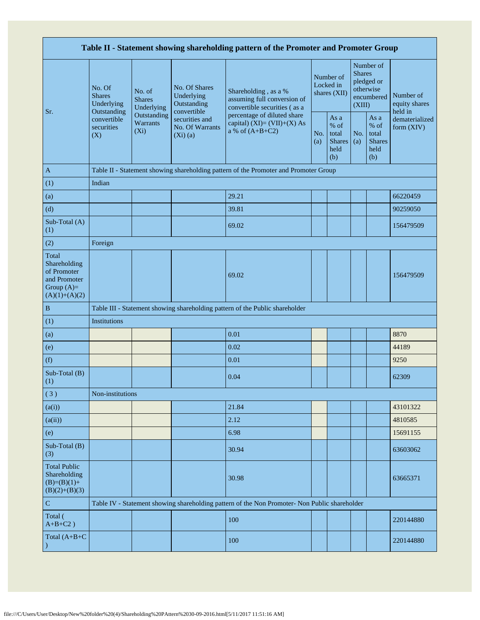| Table II - Statement showing shareholding pattern of the Promoter and Promoter Group    |                                                 |                                       |                                                                |                                                                                                                                                                           |  |                                                       |            |                                                                               |                                       |  |  |
|-----------------------------------------------------------------------------------------|-------------------------------------------------|---------------------------------------|----------------------------------------------------------------|---------------------------------------------------------------------------------------------------------------------------------------------------------------------------|--|-------------------------------------------------------|------------|-------------------------------------------------------------------------------|---------------------------------------|--|--|
|                                                                                         | No. Of<br><b>Shares</b><br>Underlying           | No. of<br><b>Shares</b><br>Underlying | No. Of Shares<br>Underlying<br>Outstanding                     | Shareholding, as a %<br>assuming full conversion of<br>convertible securities (as a<br>percentage of diluted share<br>capital) $(XI) = (VII)+(X) As$<br>a % of $(A+B+C2)$ |  | Number of<br>Locked in<br>shares (XII)                |            | Number of<br><b>Shares</b><br>pledged or<br>otherwise<br>encumbered<br>(XIII) | Number of<br>equity shares<br>held in |  |  |
| Sr.                                                                                     | Outstanding<br>convertible<br>securities<br>(X) | Outstanding<br>Warrants<br>$(X_i)$    | convertible<br>securities and<br>No. Of Warrants<br>$(Xi)$ (a) |                                                                                                                                                                           |  | As a<br>% of<br>total<br><b>Shares</b><br>held<br>(b) | No.<br>(a) | As a<br>$%$ of<br>total<br><b>Shares</b><br>held<br>(b)                       | dematerialized<br>form (XIV)          |  |  |
| $\mathbf{A}$                                                                            |                                                 |                                       |                                                                | Table II - Statement showing shareholding pattern of the Promoter and Promoter Group                                                                                      |  |                                                       |            |                                                                               |                                       |  |  |
| (1)                                                                                     | Indian                                          |                                       |                                                                |                                                                                                                                                                           |  |                                                       |            |                                                                               |                                       |  |  |
| (a)                                                                                     |                                                 |                                       |                                                                | 29.21                                                                                                                                                                     |  |                                                       |            |                                                                               | 66220459                              |  |  |
| (d)                                                                                     |                                                 |                                       |                                                                | 39.81                                                                                                                                                                     |  |                                                       |            |                                                                               | 90259050                              |  |  |
| Sub-Total (A)<br>(1)                                                                    |                                                 |                                       |                                                                | 69.02                                                                                                                                                                     |  |                                                       |            |                                                                               | 156479509                             |  |  |
| (2)                                                                                     | Foreign                                         |                                       |                                                                |                                                                                                                                                                           |  |                                                       |            |                                                                               |                                       |  |  |
| Total<br>Shareholding<br>of Promoter<br>and Promoter<br>Group $(A)=$<br>$(A)(1)+(A)(2)$ |                                                 |                                       |                                                                | 69.02                                                                                                                                                                     |  |                                                       |            |                                                                               | 156479509                             |  |  |
| $\, {\bf B}$                                                                            |                                                 |                                       |                                                                | Table III - Statement showing shareholding pattern of the Public shareholder                                                                                              |  |                                                       |            |                                                                               |                                       |  |  |
| (1)                                                                                     | Institutions                                    |                                       |                                                                |                                                                                                                                                                           |  |                                                       |            |                                                                               |                                       |  |  |
| (a)                                                                                     |                                                 |                                       |                                                                | 0.01                                                                                                                                                                      |  |                                                       |            |                                                                               | 8870                                  |  |  |
| (e)                                                                                     |                                                 |                                       |                                                                | 0.02                                                                                                                                                                      |  |                                                       |            |                                                                               | 44189                                 |  |  |
| (f)                                                                                     |                                                 |                                       |                                                                | 0.01                                                                                                                                                                      |  |                                                       |            |                                                                               | 9250                                  |  |  |
| Sub-Total (B)<br>(1)                                                                    |                                                 |                                       |                                                                | 0.04                                                                                                                                                                      |  |                                                       |            |                                                                               | 62309                                 |  |  |
| (3)                                                                                     | Non-institutions                                |                                       |                                                                |                                                                                                                                                                           |  |                                                       |            |                                                                               |                                       |  |  |
| (a(i))                                                                                  |                                                 |                                       |                                                                | 21.84                                                                                                                                                                     |  |                                                       |            |                                                                               | 43101322                              |  |  |
| (a(ii))                                                                                 |                                                 |                                       |                                                                | 2.12                                                                                                                                                                      |  |                                                       |            |                                                                               | 4810585                               |  |  |
| (e)                                                                                     |                                                 |                                       |                                                                | 6.98                                                                                                                                                                      |  |                                                       |            |                                                                               | 15691155                              |  |  |
| Sub-Total (B)<br>(3)                                                                    |                                                 |                                       |                                                                | 30.94                                                                                                                                                                     |  |                                                       |            |                                                                               | 63603062                              |  |  |
| <b>Total Public</b><br>Shareholding<br>$(B)=(B)(1)+$<br>$(B)(2)+(B)(3)$                 |                                                 |                                       |                                                                | 30.98                                                                                                                                                                     |  |                                                       |            |                                                                               | 63665371                              |  |  |
| ${\bf C}$                                                                               |                                                 |                                       |                                                                | Table IV - Statement showing shareholding pattern of the Non Promoter- Non Public shareholder                                                                             |  |                                                       |            |                                                                               |                                       |  |  |
| Total (<br>$A+B+C2$ )                                                                   |                                                 |                                       |                                                                | 100                                                                                                                                                                       |  |                                                       |            |                                                                               | 220144880                             |  |  |
| Total $(A+B+C)$                                                                         |                                                 |                                       |                                                                | 100                                                                                                                                                                       |  |                                                       |            |                                                                               | 220144880                             |  |  |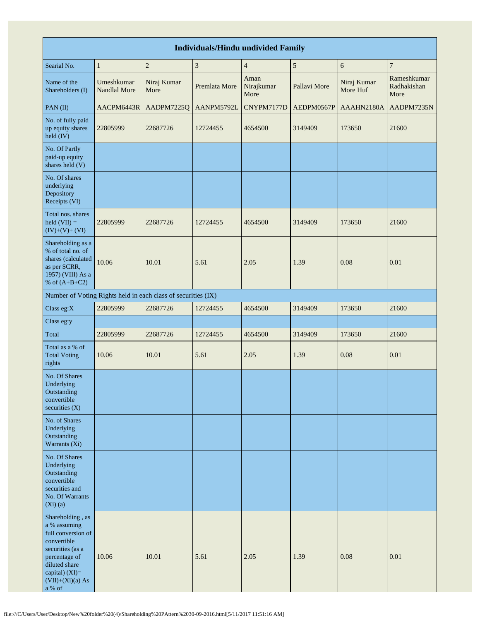|                                                                                                                                                                                 | <b>Individuals/Hindu undivided Family</b> |                                                               |               |                            |              |                         |                                    |  |  |  |  |  |
|---------------------------------------------------------------------------------------------------------------------------------------------------------------------------------|-------------------------------------------|---------------------------------------------------------------|---------------|----------------------------|--------------|-------------------------|------------------------------------|--|--|--|--|--|
| Searial No.                                                                                                                                                                     | $\,1\,$                                   | $\mathbf{2}$                                                  | $\sqrt{3}$    | $\overline{4}$             | $\sqrt{5}$   | 6                       | $\overline{7}$                     |  |  |  |  |  |
| Name of the<br>Shareholders (I)                                                                                                                                                 | Umeshkumar<br>Nandlal More                | Niraj Kumar<br>More                                           | Premlata More | Aman<br>Nirajkumar<br>More | Pallavi More | Niraj Kumar<br>More Huf | Rameshkumar<br>Radhakishan<br>More |  |  |  |  |  |
| PAN(II)                                                                                                                                                                         | AACPM6443R                                | AADPM7225Q                                                    | AANPM5792L    | CNYPM7177D                 | AEDPM0567P   | AAAHN2180A              | AADPM7235N                         |  |  |  |  |  |
| No. of fully paid<br>up equity shares<br>held (IV)                                                                                                                              | 22805999                                  | 22687726                                                      | 12724455      | 4654500                    | 3149409      | 173650                  | 21600                              |  |  |  |  |  |
| No. Of Partly<br>paid-up equity<br>shares held (V)                                                                                                                              |                                           |                                                               |               |                            |              |                         |                                    |  |  |  |  |  |
| No. Of shares<br>underlying<br>Depository<br>Receipts (VI)                                                                                                                      |                                           |                                                               |               |                            |              |                         |                                    |  |  |  |  |  |
| Total nos. shares<br>$\text{held (VII)} =$<br>$(IV)+(V)+(VI)$                                                                                                                   | 22805999                                  | 22687726                                                      | 12724455      | 4654500                    | 3149409      | 173650                  | 21600                              |  |  |  |  |  |
| Shareholding as a<br>% of total no. of<br>shares (calculated<br>as per SCRR,<br>1957) (VIII) As a<br>% of $(A+B+C2)$                                                            | 10.06                                     | 10.01                                                         | 5.61          | 2.05                       | 1.39         | 0.08                    | 0.01                               |  |  |  |  |  |
|                                                                                                                                                                                 |                                           | Number of Voting Rights held in each class of securities (IX) |               |                            |              |                         |                                    |  |  |  |  |  |
| Class eg:X                                                                                                                                                                      | 22805999                                  | 22687726                                                      | 12724455      | 4654500                    | 3149409      | 173650                  | 21600                              |  |  |  |  |  |
| Class eg:y                                                                                                                                                                      |                                           |                                                               |               |                            |              |                         |                                    |  |  |  |  |  |
| Total                                                                                                                                                                           | 22805999                                  | 22687726                                                      | 12724455      | 4654500                    | 3149409      | 173650                  | 21600                              |  |  |  |  |  |
| Total as a % of<br><b>Total Voting</b><br>rights                                                                                                                                | 10.06                                     | 10.01                                                         | 5.61          | 2.05                       | 1.39         | 0.08                    | 0.01                               |  |  |  |  |  |
| No. Of Shares<br>Underlying<br>Outstanding<br>convertible<br>securities $(X)$                                                                                                   |                                           |                                                               |               |                            |              |                         |                                    |  |  |  |  |  |
| No. of Shares<br>Underlying<br>Outstanding<br>Warrants (Xi)                                                                                                                     |                                           |                                                               |               |                            |              |                         |                                    |  |  |  |  |  |
| No. Of Shares<br>Underlying<br>Outstanding<br>convertible<br>securities and<br>No. Of Warrants<br>$(Xi)$ $(a)$                                                                  |                                           |                                                               |               |                            |              |                         |                                    |  |  |  |  |  |
| Shareholding, as<br>a % assuming<br>full conversion of<br>convertible<br>securities (as a<br>percentage of<br>diluted share<br>capital) $(XI)=$<br>$(VII)+(Xi)(a) As$<br>a % of | 10.06                                     | 10.01                                                         | 5.61          | 2.05                       | 1.39         | 0.08                    | 0.01                               |  |  |  |  |  |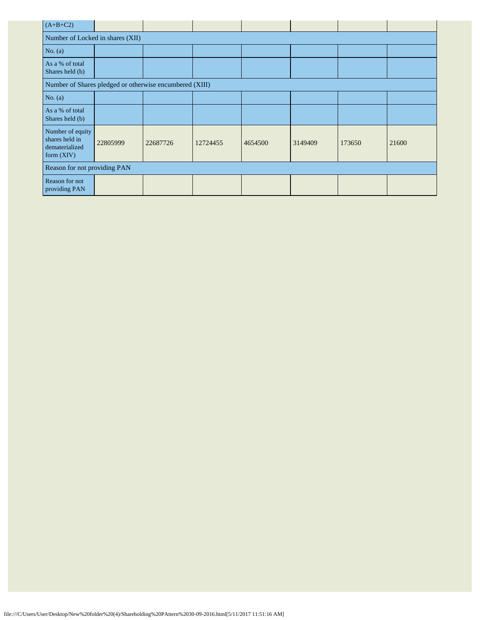| $(A+B+C2)$                                                           |                                                         |          |          |         |         |        |       |  |  |  |  |
|----------------------------------------------------------------------|---------------------------------------------------------|----------|----------|---------|---------|--------|-------|--|--|--|--|
| Number of Locked in shares (XII)                                     |                                                         |          |          |         |         |        |       |  |  |  |  |
| No. $(a)$                                                            |                                                         |          |          |         |         |        |       |  |  |  |  |
| As a % of total<br>Shares held (b)                                   |                                                         |          |          |         |         |        |       |  |  |  |  |
|                                                                      | Number of Shares pledged or otherwise encumbered (XIII) |          |          |         |         |        |       |  |  |  |  |
| No. $(a)$                                                            |                                                         |          |          |         |         |        |       |  |  |  |  |
| As a % of total<br>Shares held (b)                                   |                                                         |          |          |         |         |        |       |  |  |  |  |
| Number of equity<br>shares held in<br>dematerialized<br>form $(XIV)$ | 22805999                                                | 22687726 | 12724455 | 4654500 | 3149409 | 173650 | 21600 |  |  |  |  |
| Reason for not providing PAN                                         |                                                         |          |          |         |         |        |       |  |  |  |  |
| Reason for not<br>providing PAN                                      |                                                         |          |          |         |         |        |       |  |  |  |  |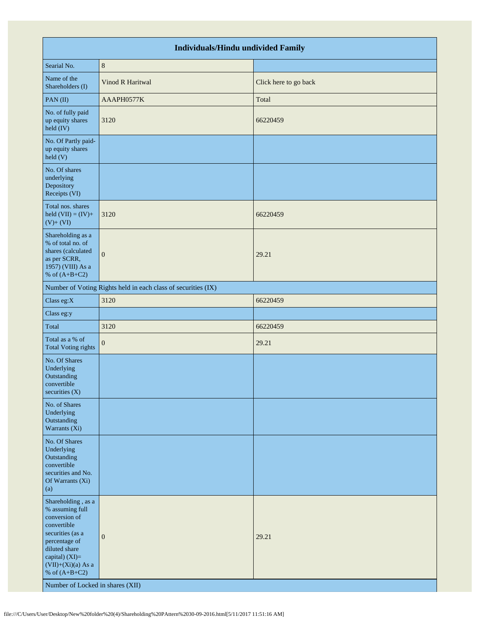|                                                                                                                                                                                                                              | <b>Individuals/Hindu undivided Family</b>                     |                       |
|------------------------------------------------------------------------------------------------------------------------------------------------------------------------------------------------------------------------------|---------------------------------------------------------------|-----------------------|
| Searial No.                                                                                                                                                                                                                  | $\,$ 8 $\,$                                                   |                       |
| Name of the<br>Shareholders (I)                                                                                                                                                                                              | Vinod R Haritwal                                              | Click here to go back |
| PAN(II)                                                                                                                                                                                                                      | AAAPH0577K                                                    | Total                 |
| No. of fully paid<br>up equity shares<br>$\text{held (IV)}$                                                                                                                                                                  | 3120                                                          | 66220459              |
| No. Of Partly paid-<br>up equity shares<br>held(V)                                                                                                                                                                           |                                                               |                       |
| No. Of shares<br>underlying<br>Depository<br>Receipts (VI)                                                                                                                                                                   |                                                               |                       |
| Total nos. shares<br>held $(VII) = (IV) +$<br>$(V)+(VI)$                                                                                                                                                                     | 3120                                                          | 66220459              |
| Shareholding as a<br>% of total no. of<br>shares (calculated<br>as per SCRR,<br>1957) (VIII) As a<br>% of $(A+B+C2)$                                                                                                         | $\mathbf{0}$                                                  | 29.21                 |
|                                                                                                                                                                                                                              | Number of Voting Rights held in each class of securities (IX) |                       |
| Class eg:X                                                                                                                                                                                                                   | 3120                                                          | 66220459              |
| Class eg:y                                                                                                                                                                                                                   |                                                               |                       |
| Total                                                                                                                                                                                                                        | 3120                                                          | 66220459              |
| Total as a % of<br><b>Total Voting rights</b>                                                                                                                                                                                | $\boldsymbol{0}$                                              | 29.21                 |
| No. Of Shares<br>Underlying<br>Outstanding<br>convertible<br>securities (X)                                                                                                                                                  |                                                               |                       |
| No. of Shares<br>Underlying<br>Outstanding<br>Warrants (Xi)                                                                                                                                                                  |                                                               |                       |
| No. Of Shares<br>Underlying<br>Outstanding<br>convertible<br>securities and No.<br>Of Warrants (Xi)<br>(a)                                                                                                                   |                                                               |                       |
| Shareholding, as a<br>% assuming full<br>conversion of<br>convertible<br>securities (as a<br>percentage of<br>diluted share<br>capital) (XI)=<br>$(VII)+(Xi)(a)$ As a<br>% of $(A+B+C2)$<br>Number of Locked in shares (XII) | $\mathbf{0}$                                                  | 29.21                 |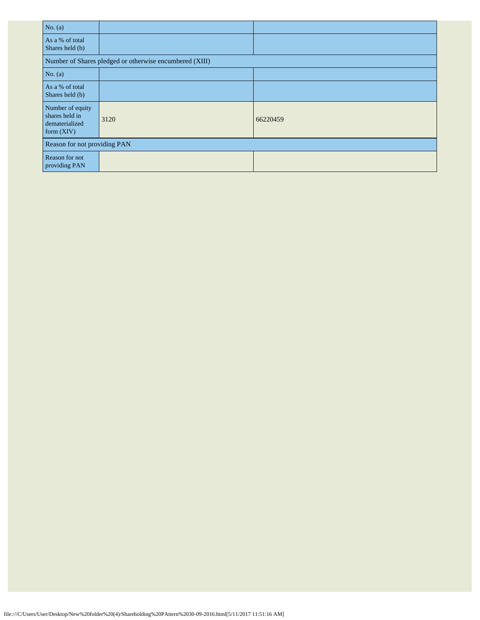| No. $(a)$                                                            |                                                         |          |
|----------------------------------------------------------------------|---------------------------------------------------------|----------|
| As a % of total<br>Shares held (b)                                   |                                                         |          |
|                                                                      | Number of Shares pledged or otherwise encumbered (XIII) |          |
| No. $(a)$                                                            |                                                         |          |
| As a % of total<br>Shares held (b)                                   |                                                         |          |
| Number of equity<br>shares held in<br>dematerialized<br>form $(XIV)$ | 3120                                                    | 66220459 |
| Reason for not providing PAN                                         |                                                         |          |
| Reason for not<br>providing PAN                                      |                                                         |          |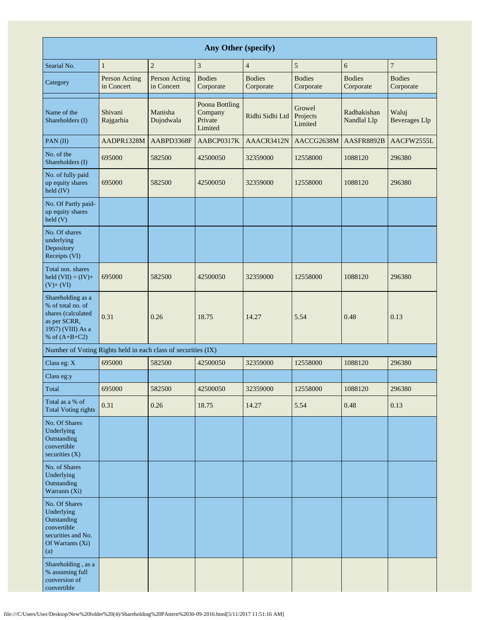|                                                                                                                      |                             |                             | Any Other (specify)                             |                            |                               |                            |                               |
|----------------------------------------------------------------------------------------------------------------------|-----------------------------|-----------------------------|-------------------------------------------------|----------------------------|-------------------------------|----------------------------|-------------------------------|
| Searial No.                                                                                                          | $\mathbf{1}$                | $\overline{c}$              | $\ensuremath{\mathfrak{Z}}$                     | $\overline{4}$             | 5                             | 6                          | $\boldsymbol{7}$              |
| Category                                                                                                             | Person Acting<br>in Concert | Person Acting<br>in Concert | <b>Bodies</b><br>Corporate                      | <b>Bodies</b><br>Corporate | <b>Bodies</b><br>Corporate    | <b>Bodies</b><br>Corporate | <b>Bodies</b><br>Corporate    |
| Name of the<br>Shareholders (I)                                                                                      | Shivani<br>Rajgarhia        | Manisha<br>Dujodwala        | Poona Bottling<br>Company<br>Private<br>Limited | Ridhi Sidhi Ltd            | Growel<br>Projects<br>Limited | Radhakishan<br>Nandlal Llp | Waluj<br><b>Beverages</b> Llp |
| PAN(II)                                                                                                              | AADPR1328M                  | AABPD3368F                  | AABCP0317K                                      | AAACR3412N                 | AACCG2638M                    | AASFR8892B                 | AACFW2555L                    |
| No. of the<br>Shareholders (I)                                                                                       | 695000                      | 582500                      | 42500050                                        | 32359000                   | 12558000                      | 1088120                    | 296380                        |
| No. of fully paid<br>up equity shares<br>held (IV)                                                                   | 695000                      | 582500                      | 42500050                                        | 32359000                   | 12558000                      | 1088120                    | 296380                        |
| No. Of Partly paid-<br>up equity shares<br>held(V)                                                                   |                             |                             |                                                 |                            |                               |                            |                               |
| No. Of shares<br>underlying<br>Depository<br>Receipts (VI)                                                           |                             |                             |                                                 |                            |                               |                            |                               |
| Total nos. shares<br>held $(VII) = (IV) +$<br>$(V) + (VI)$                                                           | 695000                      | 582500                      | 42500050                                        | 32359000                   | 12558000                      | 1088120                    | 296380                        |
| Shareholding as a<br>% of total no. of<br>shares (calculated<br>as per SCRR,<br>1957) (VIII) As a<br>% of $(A+B+C2)$ | 0.31                        | 0.26                        | 18.75                                           | 14.27                      | 5.54                          | 0.48                       | 0.13                          |
| Number of Voting Rights held in each class of securities (IX)                                                        |                             |                             |                                                 |                            |                               |                            |                               |
| Class eg: X                                                                                                          | 695000                      | 582500                      | 42500050                                        | 32359000                   | 12558000                      | 1088120                    | 296380                        |
| Class eg:y                                                                                                           |                             |                             |                                                 |                            |                               |                            |                               |
| Total                                                                                                                | 695000                      | 582500                      | 42500050                                        | 32359000                   | 12558000                      | 1088120                    | 296380                        |
| Total as a % of<br><b>Total Voting rights</b>                                                                        | 0.31                        | 0.26                        | 18.75                                           | 14.27                      | 5.54                          | 0.48                       | 0.13                          |
| No. Of Shares<br>Underlying<br>Outstanding<br>convertible<br>securities $(X)$                                        |                             |                             |                                                 |                            |                               |                            |                               |
| No. of Shares<br>Underlying<br>Outstanding<br>Warrants (Xi)                                                          |                             |                             |                                                 |                            |                               |                            |                               |
| No. Of Shares<br>Underlying<br>Outstanding<br>convertible<br>securities and No.<br>Of Warrants (Xi)<br>(a)           |                             |                             |                                                 |                            |                               |                            |                               |
| Shareholding, as a<br>% assuming full<br>conversion of<br>convertible                                                |                             |                             |                                                 |                            |                               |                            |                               |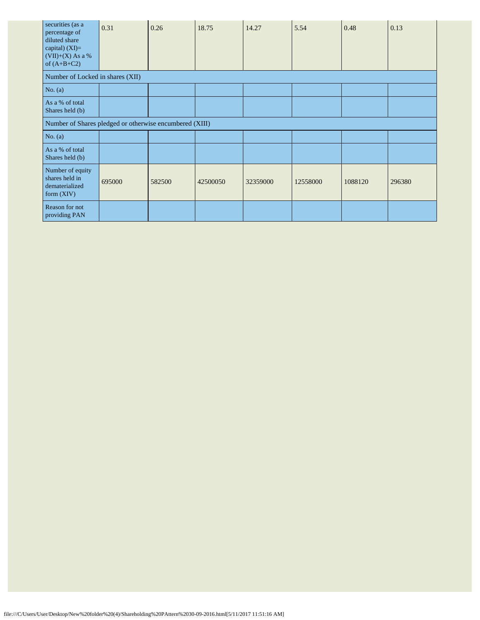| securities (as a<br>percentage of<br>diluted share<br>capital) $(XI)=$<br>$(VII)+(X)$ As a %<br>of $(A+B+C2)$ | 0.31                                                    | 0.26   | 18.75    | 14.27    | 5.54     | 0.48    | 0.13   |
|---------------------------------------------------------------------------------------------------------------|---------------------------------------------------------|--------|----------|----------|----------|---------|--------|
| Number of Locked in shares (XII)                                                                              |                                                         |        |          |          |          |         |        |
| No. (a)                                                                                                       |                                                         |        |          |          |          |         |        |
| As a % of total<br>Shares held (b)                                                                            |                                                         |        |          |          |          |         |        |
|                                                                                                               | Number of Shares pledged or otherwise encumbered (XIII) |        |          |          |          |         |        |
| No. $(a)$                                                                                                     |                                                         |        |          |          |          |         |        |
| As a % of total<br>Shares held (b)                                                                            |                                                         |        |          |          |          |         |        |
| Number of equity<br>shares held in<br>dematerialized<br>form $(XIV)$                                          | 695000                                                  | 582500 | 42500050 | 32359000 | 12558000 | 1088120 | 296380 |
| Reason for not<br>providing PAN                                                                               |                                                         |        |          |          |          |         |        |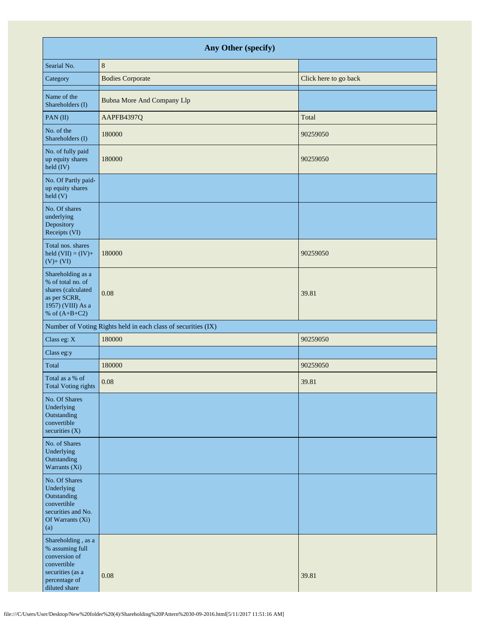| Any Other (specify)                                                                                                         |                                                               |                       |  |  |  |  |
|-----------------------------------------------------------------------------------------------------------------------------|---------------------------------------------------------------|-----------------------|--|--|--|--|
| Searial No.                                                                                                                 | $\,8\,$                                                       |                       |  |  |  |  |
| Category                                                                                                                    | <b>Bodies Corporate</b>                                       | Click here to go back |  |  |  |  |
| Name of the<br>Shareholders (I)                                                                                             | <b>Bubna More And Company Llp</b>                             |                       |  |  |  |  |
| PAN(II)                                                                                                                     | AAPFB4397Q                                                    | Total                 |  |  |  |  |
| No. of the<br>Shareholders (I)                                                                                              | 180000                                                        | 90259050              |  |  |  |  |
| No. of fully paid<br>up equity shares<br>held (IV)                                                                          | 180000                                                        | 90259050              |  |  |  |  |
| No. Of Partly paid-<br>up equity shares<br>held(V)                                                                          |                                                               |                       |  |  |  |  |
| No. Of shares<br>underlying<br>Depository<br>Receipts (VI)                                                                  |                                                               |                       |  |  |  |  |
| Total nos. shares<br>held $(VII) = (IV) +$<br>$(V)+(VI)$                                                                    | 180000                                                        | 90259050              |  |  |  |  |
| Shareholding as a<br>% of total no. of<br>shares (calculated<br>as per SCRR,<br>1957) (VIII) As a<br>% of $(A+B+C2)$        | 0.08                                                          | 39.81                 |  |  |  |  |
|                                                                                                                             | Number of Voting Rights held in each class of securities (IX) |                       |  |  |  |  |
| Class eg: X                                                                                                                 | 180000                                                        | 90259050              |  |  |  |  |
| Class eg:y                                                                                                                  |                                                               |                       |  |  |  |  |
| Total                                                                                                                       | 180000                                                        | 90259050              |  |  |  |  |
| Total as a % of<br>Total Voting rights                                                                                      | 0.08                                                          | 39.81                 |  |  |  |  |
| No. Of Shares<br>Underlying<br>Outstanding<br>convertible<br>securities $(X)$                                               |                                                               |                       |  |  |  |  |
| No. of Shares<br>Underlying<br>Outstanding<br>Warrants (Xi)                                                                 |                                                               |                       |  |  |  |  |
| No. Of Shares<br>Underlying<br>Outstanding<br>convertible<br>securities and No.<br>Of Warrants (Xi)<br>(a)                  |                                                               |                       |  |  |  |  |
| Shareholding, as a<br>% assuming full<br>conversion of<br>convertible<br>securities (as a<br>percentage of<br>diluted share | 0.08                                                          | 39.81                 |  |  |  |  |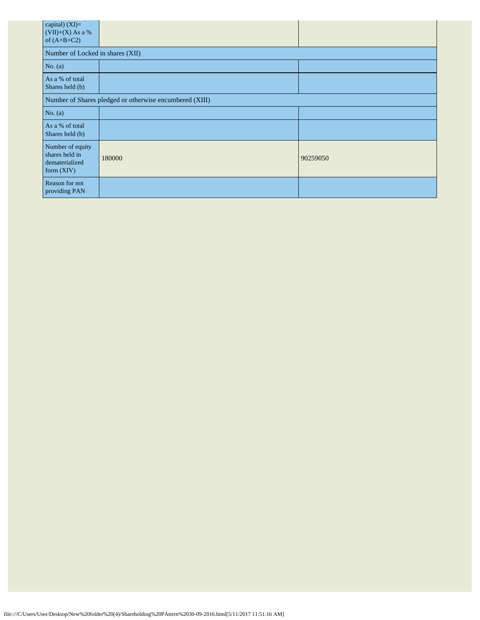| capital) (XI)=<br>$(VII)+(X)$ As a %<br>of $(A+B+C2)$                |        |          |  |  |  |
|----------------------------------------------------------------------|--------|----------|--|--|--|
| Number of Locked in shares (XII)                                     |        |          |  |  |  |
| No. $(a)$                                                            |        |          |  |  |  |
| As a % of total<br>Shares held (b)                                   |        |          |  |  |  |
| Number of Shares pledged or otherwise encumbered (XIII)              |        |          |  |  |  |
| No. (a)                                                              |        |          |  |  |  |
| As a % of total<br>Shares held (b)                                   |        |          |  |  |  |
| Number of equity<br>shares held in<br>dematerialized<br>form $(XIV)$ | 180000 | 90259050 |  |  |  |
| Reason for not<br>providing PAN                                      |        |          |  |  |  |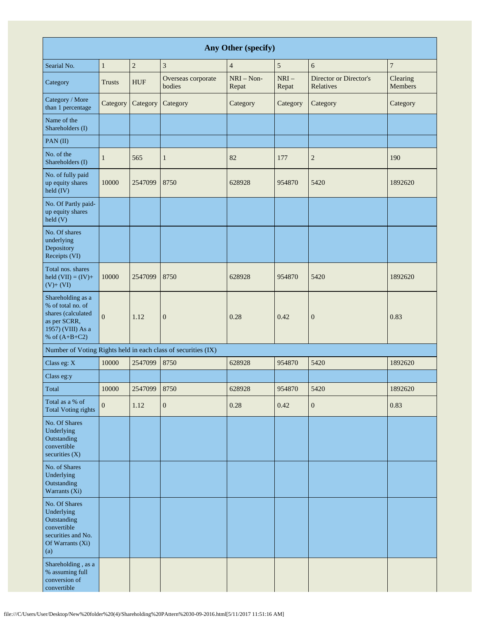| Any Other (specify)                                                                                                  |                |            |                                                               |                       |                 |                                     |                     |
|----------------------------------------------------------------------------------------------------------------------|----------------|------------|---------------------------------------------------------------|-----------------------|-----------------|-------------------------------------|---------------------|
| Searial No.                                                                                                          | $\mathbf{1}$   | $\sqrt{2}$ | 3                                                             | $\overline{4}$        | 5               | 6                                   | $\boldsymbol{7}$    |
| Category                                                                                                             | <b>Trusts</b>  | <b>HUF</b> | Overseas corporate<br>bodies                                  | $NRI - Non-$<br>Repat | $NRI-$<br>Repat | Director or Director's<br>Relatives | Clearing<br>Members |
| Category / More<br>than 1 percentage                                                                                 | Category       | Category   | Category                                                      | Category              | Category        | Category                            | Category            |
| Name of the<br>Shareholders (I)                                                                                      |                |            |                                                               |                       |                 |                                     |                     |
| PAN(II)                                                                                                              |                |            |                                                               |                       |                 |                                     |                     |
| No. of the<br>Shareholders (I)                                                                                       | 1              | 565        | $\mathbf{1}$                                                  | 82                    | 177             | $\overline{c}$                      | 190                 |
| No. of fully paid<br>up equity shares<br>held (IV)                                                                   | 10000          | 2547099    | 8750                                                          | 628928                | 954870          | 5420                                | 1892620             |
| No. Of Partly paid-<br>up equity shares<br>held(V)                                                                   |                |            |                                                               |                       |                 |                                     |                     |
| No. Of shares<br>underlying<br>Depository<br>Receipts (VI)                                                           |                |            |                                                               |                       |                 |                                     |                     |
| Total nos. shares<br>held $(VII) = (IV) +$<br>$(V)+(VI)$                                                             | 10000          | 2547099    | 8750                                                          | 628928                | 954870          | 5420                                | 1892620             |
| Shareholding as a<br>% of total no. of<br>shares (calculated<br>as per SCRR,<br>1957) (VIII) As a<br>% of $(A+B+C2)$ | $\overline{0}$ | 1.12       | $\mathbf{0}$                                                  | 0.28                  | 0.42            | $\boldsymbol{0}$                    | 0.83                |
|                                                                                                                      |                |            | Number of Voting Rights held in each class of securities (IX) |                       |                 |                                     |                     |
| Class eg: X                                                                                                          | 10000          | 2547099    | 8750                                                          | 628928                | 954870          | 5420                                | 1892620             |
| Class eg:y                                                                                                           |                |            |                                                               |                       |                 |                                     |                     |
| Total                                                                                                                | 10000          | 2547099    | 8750                                                          | 628928                | 954870          | 5420                                | 1892620             |
| Total as a % of<br><b>Total Voting rights</b>                                                                        | $\overline{0}$ | 1.12       | $\mathbf{0}$                                                  | 0.28                  | 0.42            | $\boldsymbol{0}$                    | 0.83                |
| No. Of Shares<br>Underlying<br>Outstanding<br>convertible<br>securities $(X)$                                        |                |            |                                                               |                       |                 |                                     |                     |
| No. of Shares<br>Underlying<br>Outstanding<br>Warrants (Xi)                                                          |                |            |                                                               |                       |                 |                                     |                     |
| No. Of Shares<br>Underlying<br>Outstanding<br>convertible<br>securities and No.<br>Of Warrants (Xi)<br>(a)           |                |            |                                                               |                       |                 |                                     |                     |
| Shareholding, as a<br>% assuming full<br>conversion of<br>convertible                                                |                |            |                                                               |                       |                 |                                     |                     |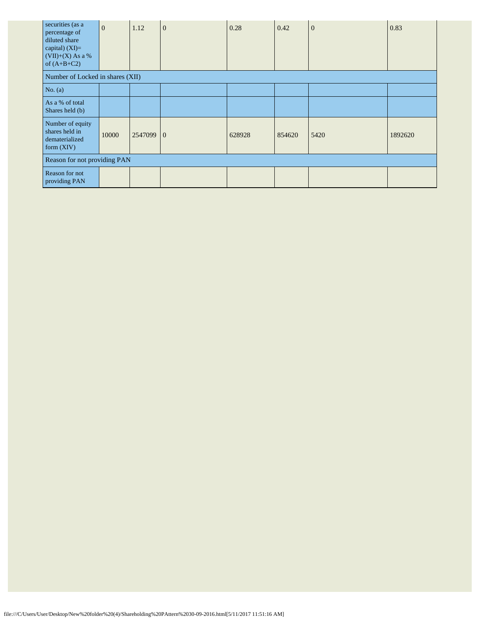| securities (as a<br>percentage of<br>diluted share<br>capital) $(XI)=$<br>$(VII)+(X)$ As a %<br>of $(A+B+C2)$ | $\overline{0}$ | 1.12    | $\overline{0}$ | 0.28   | 0.42   | $\overline{0}$ | 0.83    |
|---------------------------------------------------------------------------------------------------------------|----------------|---------|----------------|--------|--------|----------------|---------|
| Number of Locked in shares (XII)                                                                              |                |         |                |        |        |                |         |
| No. $(a)$                                                                                                     |                |         |                |        |        |                |         |
| As a % of total<br>Shares held (b)                                                                            |                |         |                |        |        |                |         |
| Number of equity<br>shares held in<br>dematerialized<br>form $(XIV)$                                          | 10000          | 2547099 | $\theta$       | 628928 | 854620 | 5420           | 1892620 |
| Reason for not providing PAN                                                                                  |                |         |                |        |        |                |         |
| Reason for not<br>providing PAN                                                                               |                |         |                |        |        |                |         |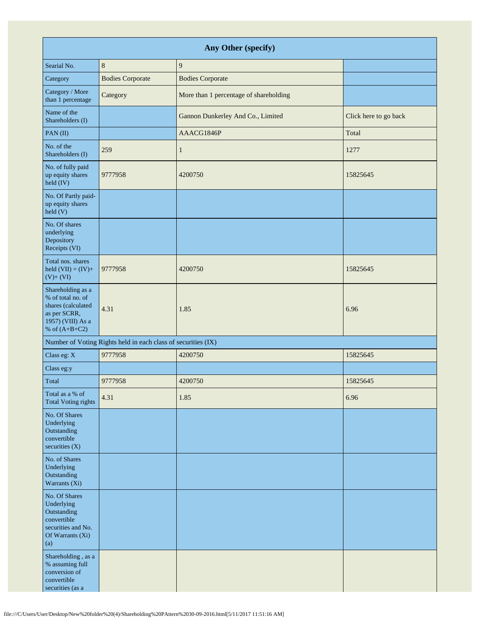| Any Other (specify)                                                                                                  |                                                               |                                        |                       |  |  |  |
|----------------------------------------------------------------------------------------------------------------------|---------------------------------------------------------------|----------------------------------------|-----------------------|--|--|--|
| Searial No.                                                                                                          | $\,8\,$                                                       | 9                                      |                       |  |  |  |
| Category                                                                                                             | <b>Bodies Corporate</b>                                       | <b>Bodies Corporate</b>                |                       |  |  |  |
| Category / More<br>than 1 percentage                                                                                 | Category                                                      | More than 1 percentage of shareholding |                       |  |  |  |
| Name of the<br>Shareholders (I)                                                                                      |                                                               | Gannon Dunkerley And Co., Limited      | Click here to go back |  |  |  |
| PAN(II)                                                                                                              |                                                               | AAACG1846P                             | Total                 |  |  |  |
| No. of the<br>Shareholders (I)                                                                                       | 259                                                           | $\mathbf{1}$                           | 1277                  |  |  |  |
| No. of fully paid<br>up equity shares<br>held (IV)                                                                   | 9777958                                                       | 4200750                                | 15825645              |  |  |  |
| No. Of Partly paid-<br>up equity shares<br>$\text{held}$ (V)                                                         |                                                               |                                        |                       |  |  |  |
| No. Of shares<br>underlying<br>Depository<br>Receipts (VI)                                                           |                                                               |                                        |                       |  |  |  |
| Total nos. shares<br>held $(VII) = (IV) +$<br>$(V)+(VI)$                                                             | 9777958                                                       | 4200750                                | 15825645              |  |  |  |
| Shareholding as a<br>% of total no. of<br>shares (calculated<br>as per SCRR,<br>1957) (VIII) As a<br>% of $(A+B+C2)$ | 4.31                                                          | 1.85                                   | 6.96                  |  |  |  |
|                                                                                                                      | Number of Voting Rights held in each class of securities (IX) |                                        |                       |  |  |  |
| Class eg: X                                                                                                          | 9777958                                                       | 4200750                                | 15825645              |  |  |  |
| Class eg:y                                                                                                           |                                                               |                                        |                       |  |  |  |
| Total                                                                                                                | 9777958                                                       | 4200750                                | 15825645              |  |  |  |
| Total as a % of<br><b>Total Voting rights</b>                                                                        | 4.31                                                          | 1.85                                   | 6.96                  |  |  |  |
| No. Of Shares<br>Underlying<br>Outstanding<br>convertible<br>securities (X)                                          |                                                               |                                        |                       |  |  |  |
| No. of Shares<br>Underlying<br>Outstanding<br>Warrants (Xi)                                                          |                                                               |                                        |                       |  |  |  |
| No. Of Shares<br>Underlying<br>Outstanding<br>convertible<br>securities and No.<br>Of Warrants (Xi)<br>(a)           |                                                               |                                        |                       |  |  |  |
| Shareholding, as a<br>% assuming full<br>conversion of<br>convertible<br>securities (as a                            |                                                               |                                        |                       |  |  |  |